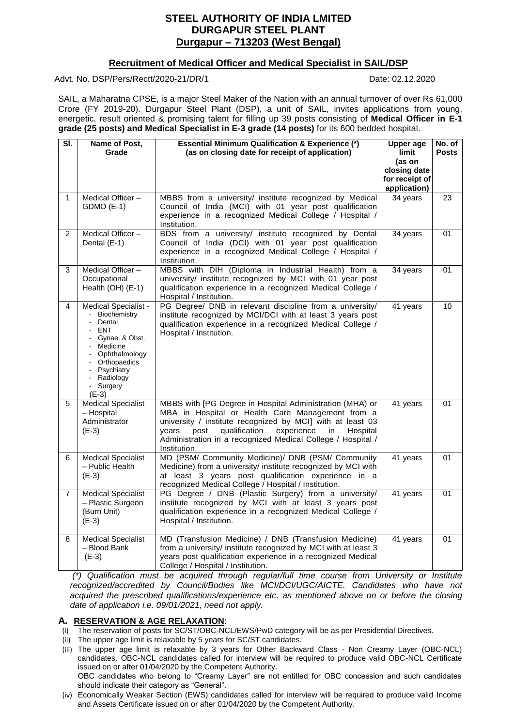# **STEEL AUTHORITY OF INDIA LMITED DURGAPUR STEEL PLANT Durgapur – 713203 (West Bengal)**

# **Recruitment of Medical Officer and Medical Specialist in SAIL/DSP**

Advt. No. DSP/Pers/Rectt/2020-21/DR/1 Date: 02.12.2020

SAIL, a Maharatna CPSE, is a major Steel Maker of the Nation with an annual turnover of over Rs 61,000 Crore (FY 2019-20). Durgapur Steel Plant (DSP), a unit of SAIL, invites applications from young, energetic, result oriented & promising talent for filling up 39 posts consisting of **Medical Officer in E-1 grade (25 posts) and Medical Specialist in E-3 grade (14 posts)** for its 600 bedded hospital.

| SI.            | Name of Post,               | <b>Essential Minimum Qualification &amp; Experience (*)</b>                                                                   |                        | No. of       |
|----------------|-----------------------------|-------------------------------------------------------------------------------------------------------------------------------|------------------------|--------------|
|                | Grade                       | (as on closing date for receipt of application)                                                                               | limit                  | <b>Posts</b> |
|                |                             |                                                                                                                               | (as on<br>closing date |              |
|                |                             |                                                                                                                               | for receipt of         |              |
|                |                             |                                                                                                                               | application)           |              |
| 1              | Medical Officer-            | MBBS from a university/ institute recognized by Medical                                                                       | 34 years               | 23           |
|                | GDMO (E-1)                  | Council of India (MCI) with 01 year post qualification                                                                        |                        |              |
|                |                             | experience in a recognized Medical College / Hospital /<br>Institution.                                                       |                        |              |
| $\overline{2}$ | Medical Officer-            | BDS from a university/ institute recognized by Dental                                                                         | 34 years               | 01           |
|                | Dental (E-1)                | Council of India (DCI) with 01 year post qualification                                                                        |                        |              |
|                |                             | experience in a recognized Medical College / Hospital /<br>Institution.                                                       |                        |              |
| 3              | Medical Officer-            | MBBS with DIH (Diploma in Industrial Health) from a                                                                           | 34 years               | 01           |
|                | Occupational                | university/ institute recognized by MCI with 01 year post                                                                     |                        |              |
|                | Health (OH) (E-1)           | qualification experience in a recognized Medical College /<br>Hospital / Institution.                                         |                        |              |
| 4              | Medical Specialist -        | PG Degree/ DNB in relevant discipline from a university/                                                                      | 41 years               | 10           |
|                | Biochemistry<br>Dental      | institute recognized by MCI/DCI with at least 3 years post                                                                    |                        |              |
|                | <b>ENT</b>                  | qualification experience in a recognized Medical College /<br>Hospital / Institution.                                         |                        |              |
|                | Gynae. & Obst.              |                                                                                                                               |                        |              |
|                | Medicine<br>- Ophthalmology |                                                                                                                               |                        |              |
|                | - Orthopaedics              |                                                                                                                               |                        |              |
|                | - Psychiatry                |                                                                                                                               |                        |              |
|                | - Radiology<br>- Surgery    |                                                                                                                               |                        |              |
|                | $(E-3)$                     |                                                                                                                               |                        |              |
| 5              | <b>Medical Specialist</b>   | MBBS with [PG Degree in Hospital Administration (MHA) or                                                                      | 41 years               | 01           |
|                | - Hospital                  | MBA in Hospital or Health Care Management from a                                                                              |                        |              |
|                | Administrator<br>$(E-3)$    | university / institute recognized by MCI] with at least 03<br>years<br>post<br>qualification<br>experience<br>in.<br>Hospital |                        |              |
|                |                             | Administration in a recognized Medical College / Hospital /                                                                   |                        |              |
|                |                             | Institution.                                                                                                                  |                        |              |
| 6              | <b>Medical Specialist</b>   | MD (PSM/ Community Medicine)/ DNB (PSM/ Community                                                                             | 41 years               | 01           |
|                | - Public Health             | Medicine) from a university/ institute recognized by MCI with                                                                 |                        |              |
|                | $(E-3)$                     | at least 3 years post qualification experience in a<br>recognized Medical College / Hospital / Institution.                   |                        |              |
| $\overline{7}$ | Medical Specialist          | PG Degree / DNB (Plastic Surgery) from a university/                                                                          | 41 years               | 01           |
|                | - Plastic Surgeon           | institute recognized by MCI with at least 3 years post                                                                        |                        |              |
|                | (Burn Unit)                 | qualification experience in a recognized Medical College /                                                                    |                        |              |
|                | $(E-3)$                     | Hospital / Institution.                                                                                                       |                        |              |
| 8              | <b>Medical Specialist</b>   | MD (Transfusion Medicine) / DNB (Transfusion Medicine)                                                                        | 41 years               | 01           |
|                | - Blood Bank                | from a university/ institute recognized by MCI with at least 3                                                                |                        |              |
|                | $(E-3)$                     | years post qualification experience in a recognized Medical<br>College / Hospital / Institution.                              |                        |              |

*(\*) Qualification must be acquired through regular/full time course from University or Institute recognized/accredited by Council/Bodies like MCI/DCI/UGC/AICTE. Candidates who have not acquired the prescribed qualifications/experience etc. as mentioned above on or before the closing date of application i.e. 09/01/2021, need not apply.*

# **A. RESERVATION & AGE RELAXATION**:

- (i) The reservation of posts for SC/ST/OBC-NCL/EWS/PwD category will be as per Presidential Directives.
- $(i)$  The upper age limit is relaxable by 5 years for SC/ST candidates.
- (iii) The upper age limit is relaxable by 3 years for Other Backward Class Non Creamy Layer (OBC-NCL) candidates. OBC-NCL candidates called for interview will be required to produce valid OBC-NCL Certificate issued on or after 01/04/2020 by the Competent Authority. OBC candidates who belong to "Creamy Layer" are not entitled for OBC concession and such candidates should indicate their category as "General".
- (iv) Economically Weaker Section (EWS) candidates called for interview will be required to produce valid Income and Assets Certificate issued on or after 01/04/2020 by the Competent Authority.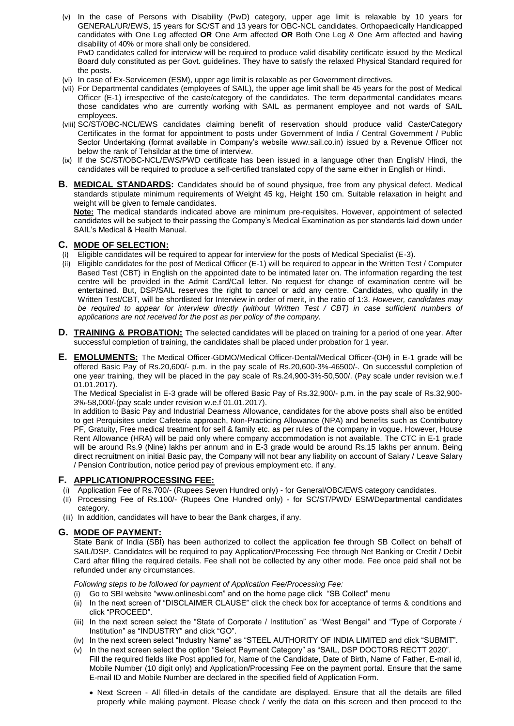- (v) In the case of Persons with Disability (PwD) category, upper age limit is relaxable by 10 years for GENERAL/UR/EWS, 15 years for SC/ST and 13 years for OBC-NCL candidates. Orthopaedically Handicapped candidates with One Leg affected **OR** One Arm affected **OR** Both One Leg & One Arm affected and having disability of 40% or more shall only be considered. PwD candidates called for interview will be required to produce valid disability certificate issued by the Medical Board duly constituted as per Govt. guidelines. They have to satisfy the relaxed Physical Standard required for the posts.
- (vi) In case of Ex-Servicemen (ESM), upper age limit is relaxable as per Government directives.
- (vii) For Departmental candidates (employees of SAIL), the upper age limit shall be 45 years for the post of Medical Officer (E-1) irrespective of the caste/category of the candidates. The term departmental candidates means those candidates who are currently working with SAIL as permanent employee and not wards of SAIL employees.
- (viii) SC/ST/OBC-NCL/EWS candidates claiming benefit of reservation should produce valid Caste/Category Certificates in the format for appointment to posts under Government of India / Central Government / Public Sector Undertaking (format available in Company's website www.sail.co.in) issued by a Revenue Officer not below the rank of Tehsildar at the time of interview.
- (ix) If the SC/ST/OBC-NCL/EWS/PWD certificate has been issued in a language other than English/ Hindi, the candidates will be required to produce a self-certified translated copy of the same either in English or Hindi.
- **B. MEDICAL STANDARDS:** Candidates should be of sound physique, free from any physical defect. Medical standards stipulate minimum requirements of Weight 45 kg, Height 150 cm. Suitable relaxation in height and weight will be given to female candidates.

**Note:** The medical standards indicated above are minimum pre-requisites. However, appointment of selected candidates will be subject to their passing the Company's Medical Examination as per standards laid down under SAIL's Medical & Health Manual.

# **C. MODE OF SELECTION:**

- (i) Eligible candidates will be required to appear for interview for the posts of Medical Specialist (E-3).
- (ii) Eligible candidates for the post of Medical Officer (E-1) will be required to appear in the Written Test / Computer Based Test (CBT) in English on the appointed date to be intimated later on. The information regarding the test centre will be provided in the Admit Card/Call letter. No request for change of examination centre will be entertained. But, DSP/SAIL reserves the right to cancel or add any centre. Candidates, who qualify in the Written Test/CBT, will be shortlisted for Interview in order of merit, in the ratio of 1:3. *However, candidates may be required to appear for interview directly (without Written Test / CBT) in case sufficient numbers of applications are not received for the post as per policy of the company.*
- **D. TRAINING & PROBATION:** The selected candidates will be placed on training for a period of one year. After successful completion of training, the candidates shall be placed under probation for 1 year.
- **E. EMOLUMENTS:** The Medical Officer-GDMO/Medical Officer-Dental/Medical Officer-(OH) in E-1 grade will be offered Basic Pay of Rs.20,600/- p.m. in the pay scale of Rs.20,600-3%-46500/-. On successful completion of one year training, they will be placed in the pay scale of Rs.24,900-3%-50,500/. (Pay scale under revision w.e.f 01.01.2017).

The Medical Specialist in E-3 grade will be offered Basic Pay of Rs.32,900/- p.m. in the pay scale of Rs.32,900- 3%-58,000/-(pay scale under revision w.e.f 01.01.2017).

In addition to Basic Pay and Industrial Dearness Allowance, candidates for the above posts shall also be entitled to get Perquisites under Cafeteria approach, Non-Practicing Allowance (NPA) and benefits such as Contributory PF, Gratuity, Free medical treatment for self & family etc. as per rules of the company in vogue**.** However, House Rent Allowance (HRA) will be paid only where company accommodation is not available. The CTC in E-1 grade will be around Rs.9 (Nine) lakhs per annum and in E-3 grade would be around Rs.15 lakhs per annum. Being direct recruitment on initial Basic pay, the Company will not bear any liability on account of Salary / Leave Salary / Pension Contribution, notice period pay of previous employment etc. if any.

# **F. APPLICATION/PROCESSING FEE:**

- (i) Application Fee of Rs.700/- (Rupees Seven Hundred only) for General/OBC/EWS category candidates.
- (ii) Processing Fee of Rs.100/- (Rupees One Hundred only) for SC/ST/PWD/ ESM/Departmental candidates category.
- (iii) In addition, candidates will have to bear the Bank charges, if any.

## **G. MODE OF PAYMENT:**

State Bank of India (SBI) has been authorized to collect the application fee through SB Collect on behalf of SAIL/DSP. Candidates will be required to pay Application/Processing Fee through Net Banking or Credit / Debit Card after filling the required details. Fee shall not be collected by any other mode. Fee once paid shall not be refunded under any circumstances.

#### *Following steps to be followed for payment of Application Fee/Processing Fee:*

- (i) Go to SBI website "www.onlinesbi.com" and on the home page click "SB Collect" menu
- (ii) In the next screen of "DISCLAIMER CLAUSE" click the check box for acceptance of terms & conditions and click "PROCEED".
- (iii) In the next screen select the "State of Corporate / Institution" as "West Bengal" and "Type of Corporate / Institution" as "INDUSTRY" and click "GO".
- (iv) In the next screen select "Industry Name" as "STEEL AUTHORITY OF INDIA LIMITED and click "SUBMIT".
- (v) In the next screen select the option "Select Payment Category" as "SAIL, DSP DOCTORS RECTT 2020". Fill the required fields like Post applied for, Name of the Candidate, Date of Birth, Name of Father, E-mail id, Mobile Number (10 digit only) and Application/Processing Fee on the payment portal. Ensure that the same E-mail ID and Mobile Number are declared in the specified field of Application Form.
	- Next Screen All filled-in details of the candidate are displayed. Ensure that all the details are filled properly while making payment. Please check / verify the data on this screen and then proceed to the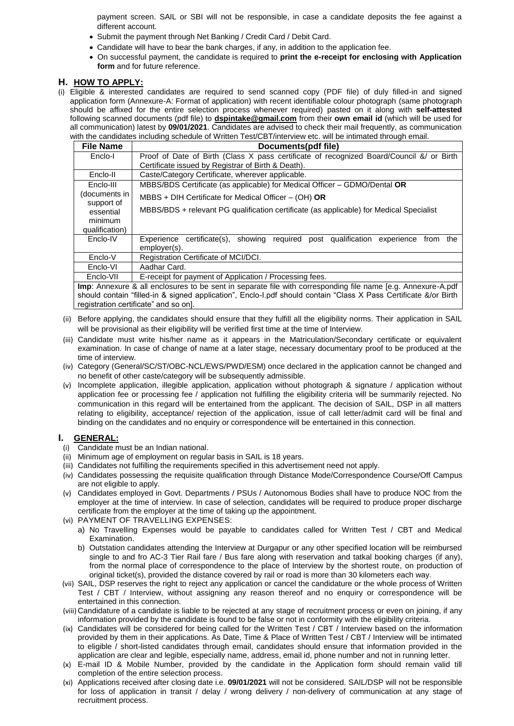payment screen. SAIL or SBI will not be responsible, in case a candidate deposits the fee against a different account.

- Submit the payment through Net Banking / Credit Card / Debit Card.
- Candidate will have to bear the bank charges, if any, in addition to the application fee.
- On successful payment, the candidate is required to **print the e-receipt for enclosing with Application form** and for future reference.

### **H. HOW TO APPLY:**

(i) Eligible & interested candidates are required to send scanned copy (PDF file) of duly filled-in and signed application form (Annexure-A: Format of application) with recent identifiable colour photograph (same photograph should be affixed for the entire selection process whenever required) pasted on it along with **self-attested** following scanned documents (pdf file) to **dspintake@gmail.com** from their **own email id** (which will be used for all communication) latest by **09/01/2021**. Candidates are advised to check their mail frequently, as communication with the candidates including schedule of Written Test/CBT/interview etc. will be intimated through email.

| <b>File Name</b>                                                                                             | Documents(pdf file)                                                                                                     |  |  |  |  |  |
|--------------------------------------------------------------------------------------------------------------|-------------------------------------------------------------------------------------------------------------------------|--|--|--|--|--|
| Enclo-I                                                                                                      | Proof of Date of Birth (Class X pass certificate of recognized Board/Council &/ or Birth                                |  |  |  |  |  |
|                                                                                                              | Certificate issued by Registrar of Birth & Death).                                                                      |  |  |  |  |  |
| Enclo-II                                                                                                     | Caste/Category Certificate, wherever applicable.                                                                        |  |  |  |  |  |
| Enclo-III                                                                                                    | MBBS/BDS Certificate (as applicable) for Medical Officer - GDMO/Dental OR                                               |  |  |  |  |  |
| (documents in<br>support of                                                                                  | $MBBS + DIH$ Certificate for Medical Officer - (OH) OR                                                                  |  |  |  |  |  |
| essential                                                                                                    | MBBS/BDS + relevant PG qualification certificate (as applicable) for Medical Specialist                                 |  |  |  |  |  |
| minimum                                                                                                      |                                                                                                                         |  |  |  |  |  |
| qualification)                                                                                               |                                                                                                                         |  |  |  |  |  |
| Enclo-IV                                                                                                     | Experience certificate(s),<br>required<br>qualification<br>showing<br>post<br>experience<br>the<br>from<br>employer(s). |  |  |  |  |  |
| Enclo-V                                                                                                      | Registration Certificate of MCI/DCI.                                                                                    |  |  |  |  |  |
| Enclo-VI                                                                                                     | Aadhar Card.                                                                                                            |  |  |  |  |  |
| E-receipt for payment of Application / Processing fees.<br>Enclo-VII                                         |                                                                                                                         |  |  |  |  |  |
| Imp: Annexure & all enclosures to be sent in separate file with corresponding file name [e.g. Annexure-A.pdf |                                                                                                                         |  |  |  |  |  |

should contain "filled-in & signed application", Enclo-I.pdf should contain "Class X Pass Certificate &/or Birth registration certificate" and so on].

- (ii) Before applying, the candidates should ensure that they fulfill all the eligibility norms. Their application in SAIL will be provisional as their eligibility will be verified first time at the time of Interview.
- (iii) Candidate must write his/her name as it appears in the Matriculation/Secondary certificate or equivalent examination. In case of change of name at a later stage, necessary documentary proof to be produced at the time of interview.
- (iv) Category (General/SC/ST/OBC-NCL/EWS/PWD/ESM) once declared in the application cannot be changed and no benefit of other caste/category will be subsequently admissible.
- (v) Incomplete application, illegible application, application without photograph & signature / application without application fee or processing fee / application not fulfilling the eligibility criteria will be summarily rejected. No communication in this regard will be entertained from the applicant. The decision of SAIL, DSP in all matters relating to eligibility, acceptance/ rejection of the application, issue of call letter/admit card will be final and binding on the candidates and no enquiry or correspondence will be entertained in this connection.

## **I. GENERAL:**

- (i) Candidate must be an Indian national.
- (ii) Minimum age of employment on regular basis in SAIL is 18 years.
- (iii) Candidates not fulfilling the requirements specified in this advertisement need not apply.
- (iv) Candidates possessing the requisite qualification through Distance Mode/Correspondence Course/Off Campus are not eligible to apply.
- (v) Candidates employed in Govt. Departments / PSUs / Autonomous Bodies shall have to produce NOC from the employer at the time of interview. In case of selection, candidates will be required to produce proper discharge certificate from the employer at the time of taking up the appointment.
- (vi) PAYMENT OF TRAVELLING EXPENSES:
	- a) No Travelling Expenses would be payable to candidates called for Written Test / CBT and Medical Examination.
	- b) Outstation candidates attending the Interview at Durgapur or any other specified location will be reimbursed single to and fro AC-3 Tier Rail fare / Bus fare along with reservation and tatkal booking charges (if any), from the normal place of correspondence to the place of Interview by the shortest route, on production of original ticket(s), provided the distance covered by rail or road is more than 30 kilometers each way.
- (vii) SAIL, DSP reserves the right to reject any application or cancel the candidature or the whole process of Written Test / CBT / Interview, without assigning any reason thereof and no enquiry or correspondence will be entertained in this connection.
- (viii) Candidature of a candidate is liable to be rejected at any stage of recruitment process or even on joining, if any information provided by the candidate is found to be false or not in conformity with the eligibility criteria.
- (ix) Candidates will be considered for being called for the Written Test / CBT / Interview based on the information provided by them in their applications. As Date, Time & Place of Written Test / CBT / Interview will be intimated to eligible / short-listed candidates through email, candidates should ensure that information provided in the application are clear and legible, especially name, address, email id, phone number and not in running letter.
- (x) E-mail ID & Mobile Number, provided by the candidate in the Application form should remain valid till completion of the entire selection process.
- (xi) Applications received after closing date i.e. **09/01/2021** will not be considered. SAIL/DSP will not be responsible for loss of application in transit / delay / wrong delivery / non-delivery of communication at any stage of recruitment process.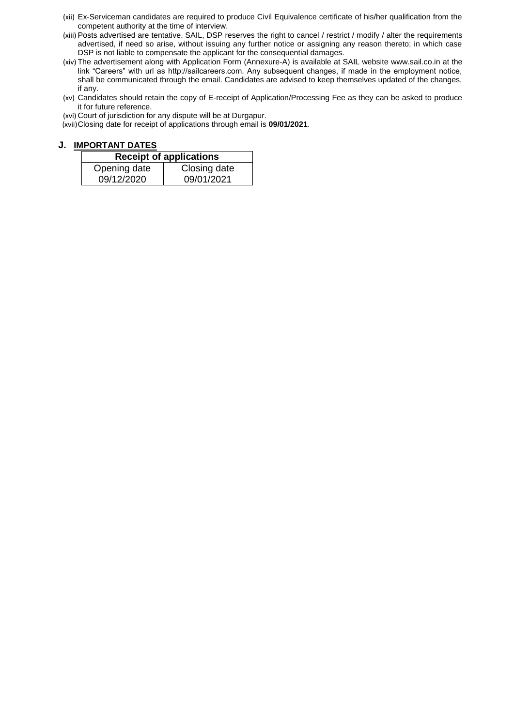- (xii) Ex-Serviceman candidates are required to produce Civil Equivalence certificate of his/her qualification from the competent authority at the time of interview.
- (xiii) Posts advertised are tentative. SAIL, DSP reserves the right to cancel / restrict / modify / alter the requirements advertised, if need so arise, without issuing any further notice or assigning any reason thereto; in which case DSP is not liable to compensate the applicant for the consequential damages.
- (xiv) The advertisement along with Application Form (Annexure-A) is available at SAIL website www.sail.co.in at the link "Careers" with url as http://sailcareers.com. Any subsequent changes, if made in the employment notice, shall be communicated through the email. Candidates are advised to keep themselves updated of the changes, if any.
- (xv) Candidates should retain the copy of E-receipt of Application/Processing Fee as they can be asked to produce it for future reference.

(xvi) Court of jurisdiction for any dispute will be at Durgapur.

(xvii)Closing date for receipt of applications through email is **09/01/2021**.

## **J. IMPORTANT DATES**

| <b>Receipt of applications</b> |              |  |  |  |  |
|--------------------------------|--------------|--|--|--|--|
| Opening date                   | Closing date |  |  |  |  |
| 09/12/2020                     | 09/01/2021   |  |  |  |  |